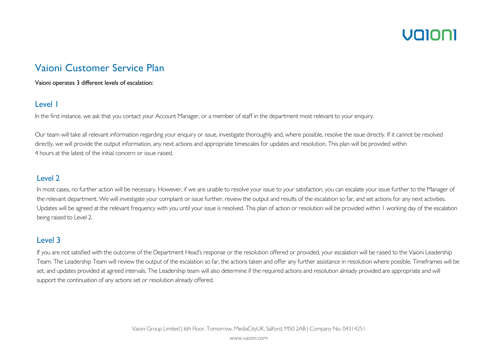## UNINN

### Vaioni Customer Service Plan

Vaioni operates 3 different levels of escalation:

#### Level 1

In the first instance, we ask that you contact your Account Manager, or a member of staff in the department most relevant to your enquiry.

Our team will take all relevant information regarding your enquiry or issue, investigate thoroughly and, where possible, resolve the issue directly. If it cannot be resolved directly, we will provide the output information, any next actions and appropriate timescales for updates and resolution. This plan will be provided within 4 hours at the latest of the initial concern or issue raised.

#### Level 2

In most cases, no further action will be necessary. However, if we are unable to resolve your issue to your satisfaction, you can escalate your issue further to the Manager of the relevant department. We will investigate your complaint or issue further, review the output and results of the escalation so far, and set actions for any next activities. Updates will be agreed at the relevant frequency with you until your issue is resolved. This plan of action or resolution will be provided within 1 working day of the escalation being raised to Level 2.

### Level 3

If you are not satisfied with the outcome of the Department Head's response or the resolution offered or provided, your escalation will be raised to the Vaioni Leadership Team. The Leadership Team will review the output of the escalation so far, the actions taken and offer any further assistance in resolution where possible. Timeframes will be set, and updates provided at agreed intervals. The Leadership team will also determine if the required actions and resolution already provided are appropriate and will support the continuation of any actions set or resolution already offered.